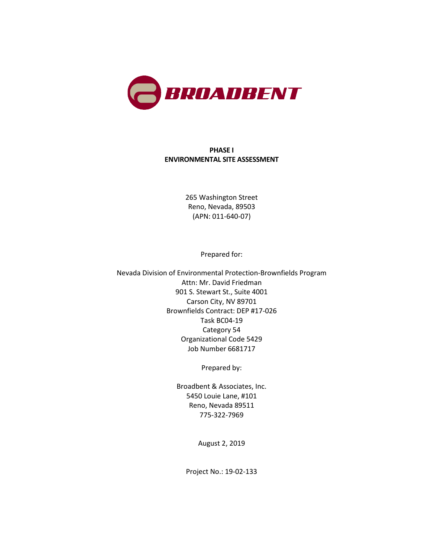

### **PHASE I ENVIRONMENTAL SITE ASSESSMENT**

265 Washington Street Reno, Nevada, 89503 (APN: 011-640-07)

Prepared for:

Nevada Division of Environmental Protection-Brownfields Program Attn: Mr. David Friedman 901 S. Stewart St., Suite 4001 Carson City, NV 89701 Brownfields Contract: DEP #17-026 Task BC04-19 Category 54 Organizational Code 5429 Job Number 6681717

Prepared by:

Broadbent & Associates, Inc. 5450 Louie Lane, #101 Reno, Nevada 89511 775-322-7969

August 2, 2019

Project No.: 19-02-133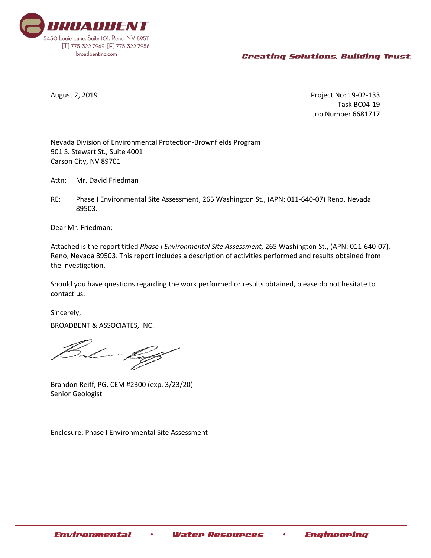

August 2, 2019 Project No: 19-02-133 Task BC04-19 Job Number 6681717

Nevada Division of Environmental Protection-Brownfields Program 901 S. Stewart St., Suite 4001 Carson City, NV 89701

Attn: Mr. David Friedman

RE: Phase I Environmental Site Assessment, 265 Washington St., (APN: 011-640-07) Reno, Nevada 89503.

Dear Mr. Friedman:

Attached is the report titled *Phase I Environmental Site Assessment,* 265 Washington St., (APN: 011-640-07), Reno, Nevada 89503. This report includes a description of activities performed and results obtained from the investigation.

Should you have questions regarding the work performed or results obtained, please do not hesitate to contact us.

Sincerely,

BROADBENT & ASSOCIATES, INC.

Brandon Reiff, PG, CEM #2300 (exp. 3/23/20) Senior Geologist

Enclosure: Phase I Environmental Site Assessment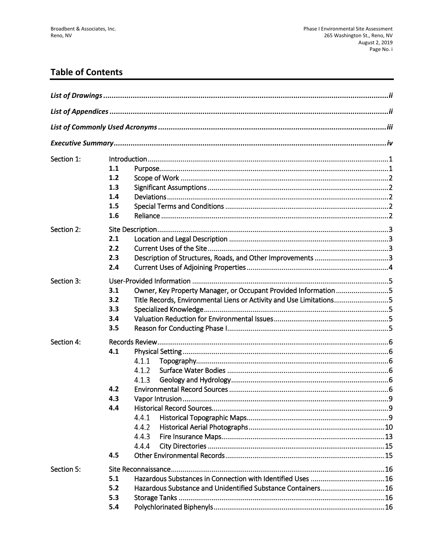# **Table of Contents**

| Section 1: |     |                                                                     |  |
|------------|-----|---------------------------------------------------------------------|--|
|            | 1.1 |                                                                     |  |
|            | 1.2 |                                                                     |  |
|            | 1.3 |                                                                     |  |
|            | 1.4 |                                                                     |  |
|            | 1.5 |                                                                     |  |
|            | 1.6 |                                                                     |  |
| Section 2: |     |                                                                     |  |
|            | 2.1 |                                                                     |  |
|            | 2.2 |                                                                     |  |
|            | 2.3 |                                                                     |  |
|            | 2.4 |                                                                     |  |
| Section 3: |     |                                                                     |  |
|            | 3.1 | Owner, Key Property Manager, or Occupant Provided Information 5     |  |
|            | 3.2 | Title Records, Environmental Liens or Activity and Use Limitations5 |  |
|            | 3.3 |                                                                     |  |
|            | 3.4 |                                                                     |  |
|            | 3.5 |                                                                     |  |
| Section 4: |     |                                                                     |  |
|            | 4.1 |                                                                     |  |
|            |     | 4.1.1                                                               |  |
|            |     | 4.1.2                                                               |  |
|            |     | 4.1.3                                                               |  |
|            | 4.2 |                                                                     |  |
|            | 4.3 |                                                                     |  |
|            | 4.4 |                                                                     |  |
|            |     | 4.4.1                                                               |  |
|            |     | 4.4.2                                                               |  |
|            |     | 4.4.3                                                               |  |
|            |     | 4.4.4                                                               |  |
|            | 4.5 |                                                                     |  |
| Section 5: |     |                                                                     |  |
|            | 5.1 |                                                                     |  |
|            | 5.2 | Hazardous Substance and Unidentified Substance Containers16         |  |
|            | 5.3 |                                                                     |  |
|            | 5.4 |                                                                     |  |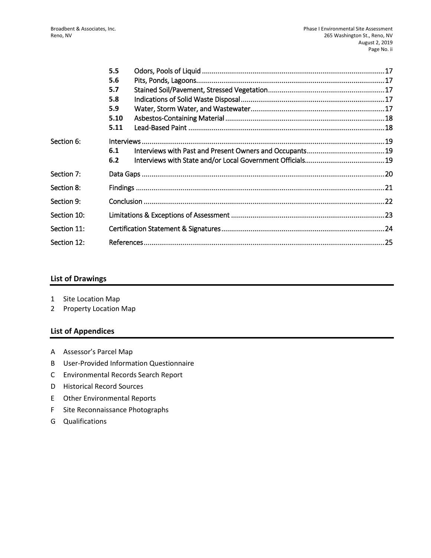|             | 5.5  |  |  |
|-------------|------|--|--|
|             | 5.6  |  |  |
|             | 5.7  |  |  |
|             | 5.8  |  |  |
|             | 5.9  |  |  |
|             | 5.10 |  |  |
|             | 5.11 |  |  |
| Section 6:  |      |  |  |
|             | 6.1  |  |  |
|             | 6.2  |  |  |
| Section 7:  |      |  |  |
| Section 8:  |      |  |  |
| Section 9:  |      |  |  |
| Section 10: |      |  |  |
| Section 11: |      |  |  |
| Section 12: |      |  |  |
|             |      |  |  |

### **List of Drawings**

- 1 Site Location Map
- 2 Property Location Map

### **List of Appendices**

- A Assessor's Parcel Map
- B User-Provided Information Questionnaire
- C Environmental Records Search Report
- D Historical Record Sources
- E Other Environmental Reports
- F Site Reconnaissance Photographs
- G Qualifications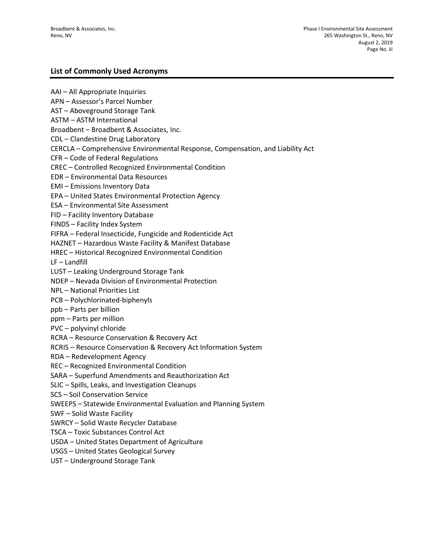### **List of Commonly Used Acronyms**

AAI – All Appropriate Inquiries APN – Assessor's Parcel Number AST – Aboveground Storage Tank ASTM – ASTM International Broadbent – Broadbent & Associates, Inc. CDL – Clandestine Drug Laboratory CERCLA – Comprehensive Environmental Response, Compensation, and Liability Act CFR – Code of Federal Regulations CREC – Controlled Recognized Environmental Condition EDR – Environmental Data Resources EMI – Emissions Inventory Data EPA – United States Environmental Protection Agency ESA – Environmental Site Assessment FID – Facility Inventory Database FINDS – Facility Index System FIFRA – Federal Insecticide, Fungicide and Rodenticide Act HAZNET – Hazardous Waste Facility & Manifest Database HREC – Historical Recognized Environmental Condition LF – Landfill LUST – Leaking Underground Storage Tank NDEP – Nevada Division of Environmental Protection NPL – National Priorities List PCB – Polychlorinated-biphenyls ppb – Parts per billion ppm – Parts per million PVC – polyvinyl chloride RCRA – Resource Conservation & Recovery Act RCRIS – Resource Conservation & Recovery Act Information System RDA – Redevelopment Agency REC – Recognized Environmental Condition SARA – Superfund Amendments and Reauthorization Act SLIC – Spills, Leaks, and Investigation Cleanups SCS – Soil Conservation Service SWEEPS – Statewide Environmental Evaluation and Planning System SWF – Solid Waste Facility SWRCY – Solid Waste Recycler Database TSCA – Toxic Substances Control Act USDA – United States Department of Agriculture USGS – United States Geological Survey UST – Underground Storage Tank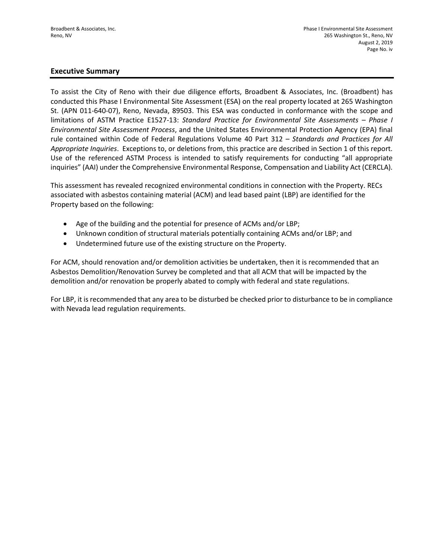### **Executive Summary**

To assist the City of Reno with their due diligence efforts, Broadbent & Associates, Inc. (Broadbent) has conducted this Phase I Environmental Site Assessment (ESA) on the real property located at 265 Washington St. (APN 011-640-07), Reno, Nevada, 89503. This ESA was conducted in conformance with the scope and limitations of ASTM Practice E1527-13: *Standard Practice for Environmental Site Assessments – Phase I Environmental Site Assessment Process*, and the United States Environmental Protection Agency (EPA) final rule contained within Code of Federal Regulations Volume 40 Part 312 – *Standards and Practices for All Appropriate Inquiries*. Exceptions to, or deletions from, this practice are described in Section 1 of this report. Use of the referenced ASTM Process is intended to satisfy requirements for conducting "all appropriate inquiries" (AAI) under the Comprehensive Environmental Response, Compensation and Liability Act (CERCLA).

This assessment has revealed recognized environmental conditions in connection with the Property. RECs associated with asbestos containing material (ACM) and lead based paint (LBP) are identified for the Property based on the following:

- Age of the building and the potential for presence of ACMs and/or LBP;
- Unknown condition of structural materials potentially containing ACMs and/or LBP; and
- Undetermined future use of the existing structure on the Property.

For ACM, should renovation and/or demolition activities be undertaken, then it is recommended that an Asbestos Demolition/Renovation Survey be completed and that all ACM that will be impacted by the demolition and/or renovation be properly abated to comply with federal and state regulations.

For LBP, it is recommended that any area to be disturbed be checked prior to disturbance to be in compliance with Nevada lead regulation requirements.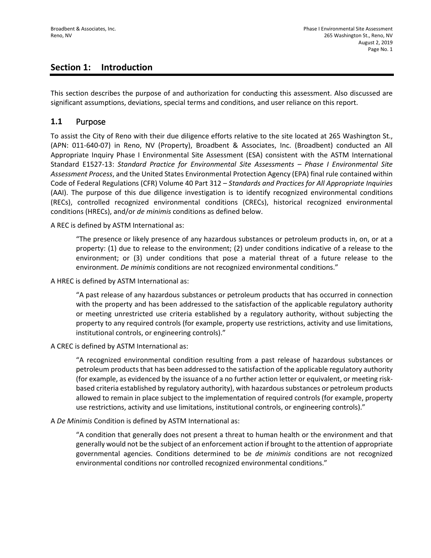## **Section 1: Introduction**

This section describes the purpose of and authorization for conducting this assessment. Also discussed are significant assumptions, deviations, special terms and conditions, and user reliance on this report.

### **1.1** Purpose

To assist the City of Reno with their due diligence efforts relative to the site located at 265 Washington St., (APN: 011-640-07) in Reno, NV (Property), Broadbent & Associates, Inc. (Broadbent) conducted an All Appropriate Inquiry Phase I Environmental Site Assessment (ESA) consistent with the ASTM International Standard E1527-13: *Standard Practice for Environmental Site Assessments – Phase I Environmental Site Assessment Process*, and the United States Environmental Protection Agency (EPA) final rule contained within Code of Federal Regulations (CFR) Volume 40 Part 312 – *Standards and Practices for All Appropriate Inquiries*  (AAI). The purpose of this due diligence investigation is to identify recognized environmental conditions (RECs), controlled recognized environmental conditions (CRECs), historical recognized environmental conditions (HRECs), and/or *de minimis* conditions as defined below.

A REC is defined by ASTM International as:

"The presence or likely presence of any hazardous substances or petroleum products in, on, or at a property: (1) due to release to the environment; (2) under conditions indicative of a release to the environment; or (3) under conditions that pose a material threat of a future release to the environment. *De minimis* conditions are not recognized environmental conditions."

A HREC is defined by ASTM International as:

"A past release of any hazardous substances or petroleum products that has occurred in connection with the property and has been addressed to the satisfaction of the applicable regulatory authority or meeting unrestricted use criteria established by a regulatory authority, without subjecting the property to any required controls (for example, property use restrictions, activity and use limitations, institutional controls, or engineering controls)."

A CREC is defined by ASTM International as:

"A recognized environmental condition resulting from a past release of hazardous substances or petroleum products that has been addressed to the satisfaction of the applicable regulatory authority (for example, as evidenced by the issuance of a no further action letter or equivalent, or meeting riskbased criteria established by regulatory authority), with hazardous substances or petroleum products allowed to remain in place subject to the implementation of required controls (for example, property use restrictions, activity and use limitations, institutional controls, or engineering controls)."

A *De Minimis* Condition is defined by ASTM International as:

"A condition that generally does not present a threat to human health or the environment and that generally would not be the subject of an enforcement action if brought to the attention of appropriate governmental agencies. Conditions determined to be *de minimis* conditions are not recognized environmental conditions nor controlled recognized environmental conditions."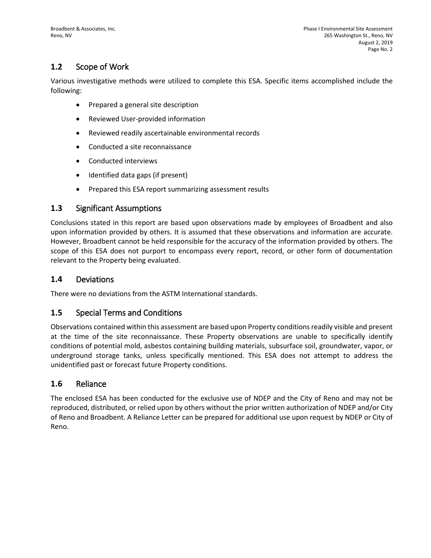# **1.2** Scope of Work

Various investigative methods were utilized to complete this ESA. Specific items accomplished include the following:

- Prepared a general site description
- Reviewed User-provided information
- Reviewed readily ascertainable environmental records
- Conducted a site reconnaissance
- Conducted interviews
- Identified data gaps (if present)
- Prepared this ESA report summarizing assessment results

### **1.3** Significant Assumptions

Conclusions stated in this report are based upon observations made by employees of Broadbent and also upon information provided by others. It is assumed that these observations and information are accurate. However, Broadbent cannot be held responsible for the accuracy of the information provided by others. The scope of this ESA does not purport to encompass every report, record, or other form of documentation relevant to the Property being evaluated.

### **1.4** Deviations

There were no deviations from the ASTM International standards.

### **1.5** Special Terms and Conditions

Observations contained within this assessment are based upon Property conditions readily visible and present at the time of the site reconnaissance. These Property observations are unable to specifically identify conditions of potential mold, asbestos containing building materials, subsurface soil, groundwater, vapor, or underground storage tanks, unless specifically mentioned. This ESA does not attempt to address the unidentified past or forecast future Property conditions.

### **1.6** Reliance

The enclosed ESA has been conducted for the exclusive use of NDEP and the City of Reno and may not be reproduced, distributed, or relied upon by others without the prior written authorization of NDEP and/or City of Reno and Broadbent. A Reliance Letter can be prepared for additional use upon request by NDEP or City of Reno.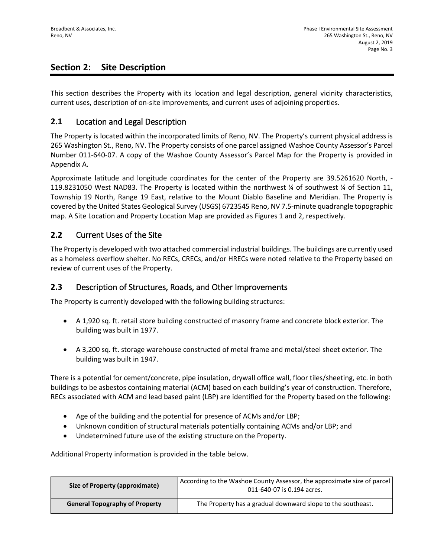# **Section 2: Site Description**

This section describes the Property with its location and legal description, general vicinity characteristics, current uses, description of on-site improvements, and current uses of adjoining properties.

### **2.1** Location and Legal Description

The Property is located within the incorporated limits of Reno, NV. The Property's current physical address is 265 Washington St., Reno, NV. The Property consists of one parcel assigned Washoe County Assessor's Parcel Number 011-640-07. A copy of the Washoe County Assessor's Parcel Map for the Property is provided in Appendix A.

Approximate latitude and longitude coordinates for the center of the Property are 39.5261620 North, - 119.8231050 West NAD83. The Property is located within the northwest ¼ of southwest ¼ of Section 11, Township 19 North, Range 19 East, relative to the Mount Diablo Baseline and Meridian. The Property is covered by the United States Geological Survey (USGS) 6723545 Reno, NV 7.5-minute quadrangle topographic map. A Site Location and Property Location Map are provided as Figures 1 and 2, respectively.

### **2.2** Current Uses of the Site

The Property is developed with two attached commercial industrial buildings. The buildings are currently used as a homeless overflow shelter. No RECs, CRECs, and/or HRECs were noted relative to the Property based on review of current uses of the Property.

### **2.3** Description of Structures, Roads, and Other Improvements

The Property is currently developed with the following building structures:

- A 1,920 sq. ft. retail store building constructed of masonry frame and concrete block exterior. The building was built in 1977.
- A 3,200 sq. ft. storage warehouse constructed of metal frame and metal/steel sheet exterior. The building was built in 1947.

There is a potential for cement/concrete, pipe insulation, drywall office wall, floor tiles/sheeting, etc. in both buildings to be asbestos containing material (ACM) based on each building's year of construction. Therefore, RECs associated with ACM and lead based paint (LBP) are identified for the Property based on the following:

- Age of the building and the potential for presence of ACMs and/or LBP;
- Unknown condition of structural materials potentially containing ACMs and/or LBP; and
- Undetermined future use of the existing structure on the Property.

Additional Property information is provided in the table below.

| Size of Property (approximate)        | According to the Washoe County Assessor, the approximate size of parcel<br>011-640-07 is 0.194 acres. |  |
|---------------------------------------|-------------------------------------------------------------------------------------------------------|--|
| <b>General Topography of Property</b> | The Property has a gradual downward slope to the southeast.                                           |  |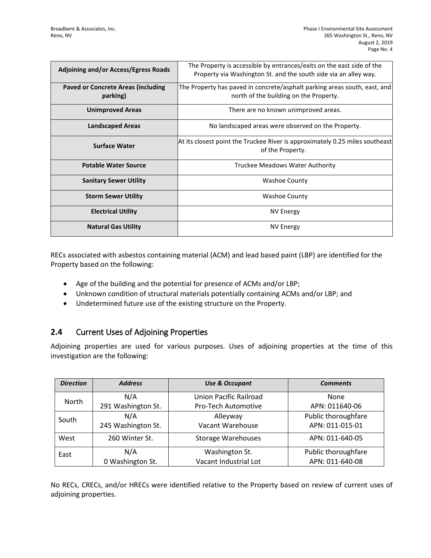| <b>Adjoining and/or Access/Egress Roads</b> | The Property is accessible by entrances/exits on the east side of the<br>Property via Washington St. and the south side via an alley way. |
|---------------------------------------------|-------------------------------------------------------------------------------------------------------------------------------------------|
| Paved or Concrete Areas (including          | The Property has paved in concrete/asphalt parking areas south, east, and                                                                 |
| parking)                                    | north of the building on the Property.                                                                                                    |
| <b>Unimproved Areas</b>                     | There are no known unimproved areas.                                                                                                      |
| <b>Landscaped Areas</b>                     | No landscaped areas were observed on the Property.                                                                                        |
| <b>Surface Water</b>                        | At its closest point the Truckee River is approximately 0.25 miles southeast                                                              |
|                                             | of the Property.                                                                                                                          |
| <b>Potable Water Source</b>                 | Truckee Meadows Water Authority                                                                                                           |
| <b>Sanitary Sewer Utility</b>               | <b>Washoe County</b>                                                                                                                      |
| <b>Storm Sewer Utility</b>                  | <b>Washoe County</b>                                                                                                                      |
| <b>Electrical Utility</b>                   | <b>NV Energy</b>                                                                                                                          |
| <b>Natural Gas Utility</b>                  | <b>NV Energy</b>                                                                                                                          |

RECs associated with asbestos containing material (ACM) and lead based paint (LBP) are identified for the Property based on the following:

- Age of the building and the potential for presence of ACMs and/or LBP;
- Unknown condition of structural materials potentially containing ACMs and/or LBP; and
- Undetermined future use of the existing structure on the Property.

# **2.4** Current Uses of Adjoining Properties

Adjoining properties are used for various purposes. Uses of adjoining properties at the time of this investigation are the following:

| <b>Direction</b> | <b>Address</b>     | <b>Use &amp; Occupant</b> | <b>Comments</b>     |
|------------------|--------------------|---------------------------|---------------------|
| North            | N/A                | Union Pacific Railroad    | None                |
|                  | 291 Washington St. | Pro-Tech Automotive       | APN: 011640-06      |
| South            | N/A                | Alleyway                  | Public thoroughfare |
|                  | 245 Washington St. | Vacant Warehouse          | APN: 011-015-01     |
| West             | 260 Winter St.     | <b>Storage Warehouses</b> | APN: 011-640-05     |
| East             | N/A                | Washington St.            | Public thoroughfare |
|                  | 0 Washington St.   | Vacant Industrial Lot     | APN: 011-640-08     |

No RECs, CRECs, and/or HRECs were identified relative to the Property based on review of current uses of adjoining properties.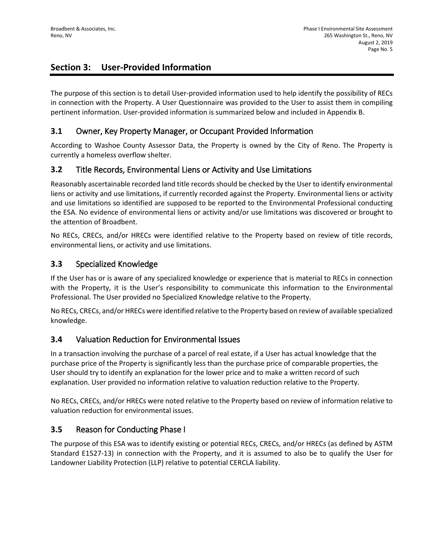# **Section 3: User-Provided Information**

The purpose of this section is to detail User-provided information used to help identify the possibility of RECs in connection with the Property. A User Questionnaire was provided to the User to assist them in compiling pertinent information. User-provided information is summarized below and included in Appendix B.

### **3.1** Owner, Key Property Manager, or Occupant Provided Information

According to Washoe County Assessor Data, the Property is owned by the City of Reno. The Property is currently a homeless overflow shelter.

## **3.2** Title Records, Environmental Liens or Activity and Use Limitations

Reasonably ascertainable recorded land title records should be checked by the User to identify environmental liens or activity and use limitations, if currently recorded against the Property. Environmental liens or activity and use limitations so identified are supposed to be reported to the Environmental Professional conducting the ESA. No evidence of environmental liens or activity and/or use limitations was discovered or brought to the attention of Broadbent.

No RECs, CRECs, and/or HRECs were identified relative to the Property based on review of title records, environmental liens, or activity and use limitations.

### **3.3** Specialized Knowledge

If the User has or is aware of any specialized knowledge or experience that is material to RECs in connection with the Property, it is the User's responsibility to communicate this information to the Environmental Professional. The User provided no Specialized Knowledge relative to the Property.

No RECs, CRECs, and/or HRECs were identified relative to the Property based on review of available specialized knowledge.

### **3.4** Valuation Reduction for Environmental Issues

In a transaction involving the purchase of a parcel of real estate, if a User has actual knowledge that the purchase price of the Property is significantly less than the purchase price of comparable properties, the User should try to identify an explanation for the lower price and to make a written record of such explanation. User provided no information relative to valuation reduction relative to the Property.

No RECs, CRECs, and/or HRECs were noted relative to the Property based on review of information relative to valuation reduction for environmental issues.

## **3.5** Reason for Conducting Phase I

The purpose of this ESA was to identify existing or potential RECs, CRECs, and/or HRECs (as defined by ASTM Standard E1527-13) in connection with the Property, and it is assumed to also be to qualify the User for Landowner Liability Protection (LLP) relative to potential CERCLA liability.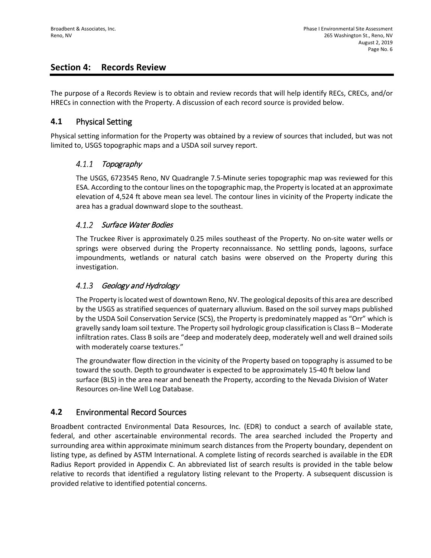## **Section 4: Records Review**

The purpose of a Records Review is to obtain and review records that will help identify RECs, CRECs, and/or HRECs in connection with the Property. A discussion of each record source is provided below.

### **4.1** Physical Setting

Physical setting information for the Property was obtained by a review of sources that included, but was not limited to, USGS topographic maps and a USDA soil survey report.

#### $4.1.1$ Topography

The USGS, 6723545 Reno, NV Quadrangle 7.5-Minute series topographic map was reviewed for this ESA. According to the contour lines on the topographic map, the Property is located at an approximate elevation of 4,524 ft above mean sea level. The contour lines in vicinity of the Property indicate the area has a gradual downward slope to the southeast.

### 4.1.2 Surface Water Bodies

The Truckee River is approximately 0.25 miles southeast of the Property. No on-site water wells or springs were observed during the Property reconnaissance. No settling ponds, lagoons, surface impoundments, wetlands or natural catch basins were observed on the Property during this investigation.

#### $4.1.3$ Geology and Hydrology

The Property is located west of downtown Reno, NV. The geological deposits of this area are described by the USGS as stratified sequences of quaternary alluvium. Based on the soil survey maps published by the USDA Soil Conservation Service (SCS), the Property is predominately mapped as "Orr" which is gravelly sandy loam soil texture. The Property soil hydrologic group classification is Class B – Moderate infiltration rates. Class B soils are "deep and moderately deep, moderately well and well drained soils with moderately coarse textures."

The groundwater flow direction in the vicinity of the Property based on topography is assumed to be toward the south. Depth to groundwater is expected to be approximately 15-40 ft below land surface (BLS) in the area near and beneath the Property, according to the Nevada Division of Water Resources on-line Well Log Database.

## **4.2** Environmental Record Sources

Broadbent contracted Environmental Data Resources, Inc. (EDR) to conduct a search of available state, federal, and other ascertainable environmental records. The area searched included the Property and surrounding area within approximate minimum search distances from the Property boundary, dependent on listing type, as defined by ASTM International. A complete listing of records searched is available in the EDR Radius Report provided in Appendix C. An abbreviated list of search results is provided in the table below relative to records that identified a regulatory listing relevant to the Property. A subsequent discussion is provided relative to identified potential concerns.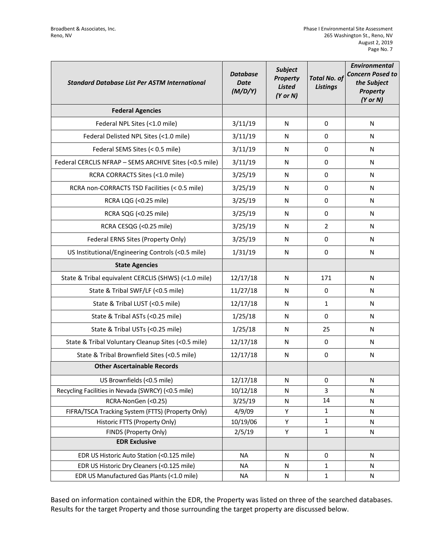| <b>Standard Database List Per ASTM International</b>   | <b>Database</b><br><b>Date</b><br>(M/D/Y) | <b>Subject</b><br>Property<br><b>Listed</b><br>$(Y$ or N) | <b>Total No. of</b><br><b>Listings</b> | <b>Environmental</b><br><b>Concern Posed to</b><br>the Subject<br><b>Property</b><br>$(Y$ or $N)$ |
|--------------------------------------------------------|-------------------------------------------|-----------------------------------------------------------|----------------------------------------|---------------------------------------------------------------------------------------------------|
| <b>Federal Agencies</b>                                |                                           |                                                           |                                        |                                                                                                   |
| Federal NPL Sites (<1.0 mile)                          | 3/11/19                                   | N                                                         | 0                                      | N                                                                                                 |
| Federal Delisted NPL Sites (<1.0 mile)                 | 3/11/19                                   | N                                                         | 0                                      | N                                                                                                 |
| Federal SEMS Sites (< 0.5 mile)                        | 3/11/19                                   | N                                                         | 0                                      | N                                                                                                 |
| Federal CERCLIS NFRAP - SEMS ARCHIVE Sites (<0.5 mile) | 3/11/19                                   | N                                                         | 0                                      | N                                                                                                 |
| RCRA CORRACTS Sites (<1.0 mile)                        | 3/25/19                                   | N                                                         | 0                                      | N                                                                                                 |
| RCRA non-CORRACTS TSD Facilities (< 0.5 mile)          | 3/25/19                                   | N                                                         | 0                                      | N                                                                                                 |
| RCRA LQG (<0.25 mile)                                  | 3/25/19                                   | N                                                         | 0                                      | N                                                                                                 |
| RCRA SQG (<0.25 mile)                                  | 3/25/19                                   | N                                                         | 0                                      | N                                                                                                 |
| RCRA CESQG (<0.25 mile)                                | 3/25/19                                   | N                                                         | $\overline{2}$                         | N                                                                                                 |
| Federal ERNS Sites (Property Only)                     | 3/25/19                                   | N                                                         | 0                                      | N                                                                                                 |
| US Institutional/Engineering Controls (<0.5 mile)      | 1/31/19                                   | N                                                         | $\Omega$                               | N                                                                                                 |
| <b>State Agencies</b>                                  |                                           |                                                           |                                        |                                                                                                   |
| State & Tribal equivalent CERCLIS (SHWS) (<1.0 mile)   | 12/17/18                                  | N                                                         | 171                                    | N                                                                                                 |
| State & Tribal SWF/LF (<0.5 mile)                      | 11/27/18                                  | N                                                         | 0                                      | N                                                                                                 |
| State & Tribal LUST (<0.5 mile)                        | 12/17/18                                  | N                                                         | $\mathbf{1}$                           | N                                                                                                 |
| State & Tribal ASTs (<0.25 mile)                       | 1/25/18                                   | N                                                         | 0                                      | N                                                                                                 |
| State & Tribal USTs (<0.25 mile)                       | 1/25/18                                   | N                                                         | 25                                     | N                                                                                                 |
| State & Tribal Voluntary Cleanup Sites (<0.5 mile)     | 12/17/18                                  | N                                                         | 0                                      | N                                                                                                 |
| State & Tribal Brownfield Sites (<0.5 mile)            | 12/17/18                                  | N                                                         | 0                                      | N                                                                                                 |
| <b>Other Ascertainable Records</b>                     |                                           |                                                           |                                        |                                                                                                   |
| US Brownfields (<0.5 mile)                             | 12/17/18                                  | N                                                         | 0                                      | N                                                                                                 |
| Recycling Facilities in Nevada (SWRCY) (<0.5 mile)     | 10/12/18                                  | N                                                         | 3                                      | N                                                                                                 |
| RCRA-NonGen (<0.25)                                    | 3/25/19                                   | ${\sf N}$                                                 | 14                                     | N                                                                                                 |
| FIFRA/TSCA Tracking System (FTTS) (Property Only)      | 4/9/09                                    | Υ                                                         | $\mathbf{1}$                           | N                                                                                                 |
| Historic FTTS (Property Only)                          | 10/19/06                                  | Υ                                                         | $\mathbf{1}$                           | N                                                                                                 |
| FINDS (Property Only)                                  | 2/5/19                                    | Υ                                                         | $\mathbf{1}$                           | N                                                                                                 |
| <b>EDR Exclusive</b>                                   |                                           |                                                           |                                        |                                                                                                   |
| EDR US Historic Auto Station (<0.125 mile)             | <b>NA</b>                                 | N                                                         | 0                                      | $\mathsf{N}$                                                                                      |
| EDR US Historic Dry Cleaners (<0.125 mile)             | <b>NA</b>                                 | N                                                         | 1                                      | N                                                                                                 |
| EDR US Manufactured Gas Plants (<1.0 mile)             | <b>NA</b>                                 | N                                                         | $\mathbf{1}$                           | N                                                                                                 |

Based on information contained within the EDR, the Property was listed on three of the searched databases. Results for the target Property and those surrounding the target property are discussed below.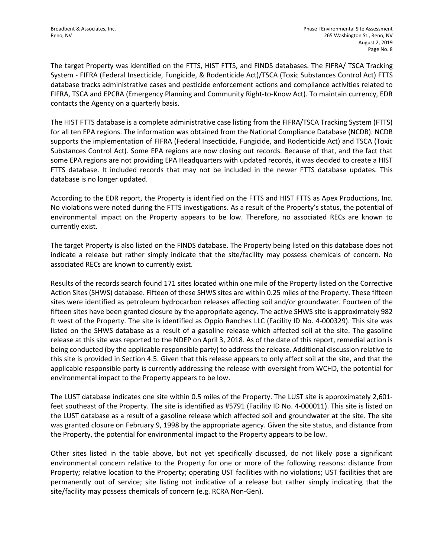The target Property was identified on the FTTS, HIST FTTS, and FINDS databases. The FIFRA/ TSCA Tracking System - FIFRA (Federal Insecticide, Fungicide, & Rodenticide Act)/TSCA (Toxic Substances Control Act) FTTS database tracks administrative cases and pesticide enforcement actions and compliance activities related to FIFRA, TSCA and EPCRA (Emergency Planning and Community Right-to-Know Act). To maintain currency, EDR contacts the Agency on a quarterly basis.

The HIST FTTS database is a complete administrative case listing from the FIFRA/TSCA Tracking System (FTTS) for all ten EPA regions. The information was obtained from the National Compliance Database (NCDB). NCDB supports the implementation of FIFRA (Federal Insecticide, Fungicide, and Rodenticide Act) and TSCA (Toxic Substances Control Act). Some EPA regions are now closing out records. Because of that, and the fact that some EPA regions are not providing EPA Headquarters with updated records, it was decided to create a HIST FTTS database. It included records that may not be included in the newer FTTS database updates. This database is no longer updated.

According to the EDR report, the Property is identified on the FTTS and HIST FTTS as Apex Productions, Inc. No violations were noted during the FTTS investigations. As a result of the Property's status, the potential of environmental impact on the Property appears to be low. Therefore, no associated RECs are known to currently exist.

The target Property is also listed on the FINDS database. The Property being listed on this database does not indicate a release but rather simply indicate that the site/facility may possess chemicals of concern. No associated RECs are known to currently exist.

Results of the records search found 171 sites located within one mile of the Property listed on the Corrective Action Sites (SHWS) database. Fifteen of these SHWS sites are within 0.25 miles of the Property. These fifteen sites were identified as petroleum hydrocarbon releases affecting soil and/or groundwater. Fourteen of the fifteen sites have been granted closure by the appropriate agency. The active SHWS site is approximately 982 ft west of the Property. The site is identified as Oppio Ranches LLC (Facility ID No. 4-000329). This site was listed on the SHWS database as a result of a gasoline release which affected soil at the site. The gasoline release at this site was reported to the NDEP on April 3, 2018. As of the date of this report, remedial action is being conducted (by the applicable responsible party) to address the release. Additional discussion relative to this site is provided in Section 4.5. Given that this release appears to only affect soil at the site, and that the applicable responsible party is currently addressing the release with oversight from WCHD, the potential for environmental impact to the Property appears to be low.

The LUST database indicates one site within 0.5 miles of the Property. The LUST site is approximately 2,601 feet southeast of the Property. The site is identified as #5791 (Facility ID No. 4-000011). This site is listed on the LUST database as a result of a gasoline release which affected soil and groundwater at the site. The site was granted closure on February 9, 1998 by the appropriate agency. Given the site status, and distance from the Property, the potential for environmental impact to the Property appears to be low.

Other sites listed in the table above, but not yet specifically discussed, do not likely pose a significant environmental concern relative to the Property for one or more of the following reasons: distance from Property; relative location to the Property; operating UST facilities with no violations; UST facilities that are permanently out of service; site listing not indicative of a release but rather simply indicating that the site/facility may possess chemicals of concern (e.g. RCRA Non-Gen).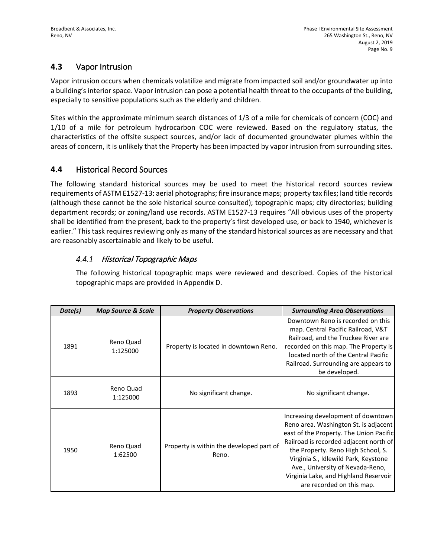## **4.3** Vapor Intrusion

Vapor intrusion occurs when chemicals volatilize and migrate from impacted soil and/or groundwater up into a building's interior space. Vapor intrusion can pose a potential health threat to the occupants of the building, especially to sensitive populations such as the elderly and children.

Sites within the approximate minimum search distances of 1/3 of a mile for chemicals of concern (COC) and 1/10 of a mile for petroleum hydrocarbon COC were reviewed. Based on the regulatory status, the characteristics of the offsite suspect sources, and/or lack of documented groundwater plumes within the areas of concern, it is unlikely that the Property has been impacted by vapor intrusion from surrounding sites.

## **4.4** Historical Record Sources

The following standard historical sources may be used to meet the historical record sources review requirements of ASTM E1527-13: aerial photographs; fire insurance maps; property tax files; land title records (although these cannot be the sole historical source consulted); topographic maps; city directories; building department records; or zoning/land use records. ASTM E1527-13 requires "All obvious uses of the property shall be identified from the present, back to the property's first developed use, or back to 1940, whichever is earlier." This task requires reviewing only as many of the standard historical sources as are necessary and that are reasonably ascertainable and likely to be useful.

#### $4.4.1$ Historical Topographic Maps

The following historical topographic maps were reviewed and described. Copies of the historical topographic maps are provided in Appendix D.

| Date(s) | <b>Map Source &amp; Scale</b> | <b>Property Observations</b>                      | <b>Surrounding Area Observations</b>                                                                                                                                                                                                                                                                                                                     |
|---------|-------------------------------|---------------------------------------------------|----------------------------------------------------------------------------------------------------------------------------------------------------------------------------------------------------------------------------------------------------------------------------------------------------------------------------------------------------------|
| 1891    | Reno Quad<br>1:125000         | Property is located in downtown Reno.             | Downtown Reno is recorded on this<br>map. Central Pacific Railroad, V&T<br>Railroad, and the Truckee River are<br>recorded on this map. The Property is<br>located north of the Central Pacific<br>Railroad. Surrounding are appears to<br>be developed.                                                                                                 |
| 1893    | Reno Quad<br>1:125000         | No significant change.                            | No significant change.                                                                                                                                                                                                                                                                                                                                   |
| 1950    | Reno Quad<br>1:62500          | Property is within the developed part of<br>Reno. | Increasing development of downtown<br>Reno area. Washington St. is adjacent<br>east of the Property. The Union Pacific<br>Railroad is recorded adjacent north of<br>the Property. Reno High School, S.<br>Virginia S., Idlewild Park, Keystone<br>Ave., University of Nevada-Reno,<br>Virginia Lake, and Highland Reservoir<br>are recorded on this map. |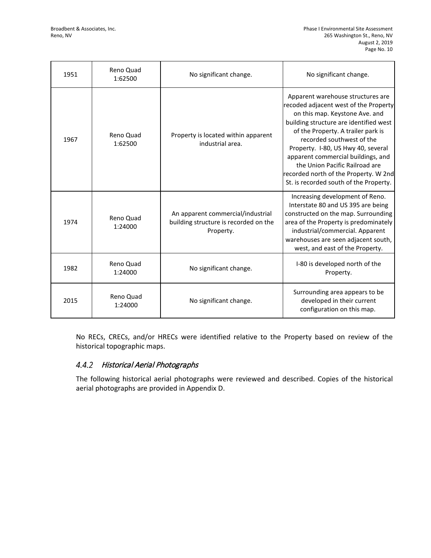| 1951 | Reno Quad<br>1:62500 | No significant change.                                                                  | No significant change.                                                                                                                                                                                                                                                                                                                                                                                                     |
|------|----------------------|-----------------------------------------------------------------------------------------|----------------------------------------------------------------------------------------------------------------------------------------------------------------------------------------------------------------------------------------------------------------------------------------------------------------------------------------------------------------------------------------------------------------------------|
| 1967 | Reno Quad<br>1:62500 | Property is located within apparent<br>industrial area.                                 | Apparent warehouse structures are<br>recoded adjacent west of the Property<br>on this map. Keystone Ave. and<br>building structure are identified west<br>of the Property. A trailer park is<br>recorded southwest of the<br>Property. I-80, US Hwy 40, several<br>apparent commercial buildings, and<br>the Union Pacific Railroad are<br>recorded north of the Property. W 2nd<br>St. is recorded south of the Property. |
| 1974 | Reno Quad<br>1:24000 | An apparent commercial/industrial<br>building structure is recorded on the<br>Property. | Increasing development of Reno.<br>Interstate 80 and US 395 are being<br>constructed on the map. Surrounding<br>area of the Property is predominately<br>industrial/commercial. Apparent<br>warehouses are seen adjacent south,<br>west, and east of the Property.                                                                                                                                                         |
| 1982 | Reno Quad<br>1:24000 | No significant change.                                                                  | I-80 is developed north of the<br>Property.                                                                                                                                                                                                                                                                                                                                                                                |
| 2015 | Reno Quad<br>1:24000 | No significant change.                                                                  | Surrounding area appears to be<br>developed in their current<br>configuration on this map.                                                                                                                                                                                                                                                                                                                                 |

No RECs, CRECs, and/or HRECs were identified relative to the Property based on review of the historical topographic maps.

### 4.4.2 Historical Aerial Photographs

The following historical aerial photographs were reviewed and described. Copies of the historical aerial photographs are provided in Appendix D.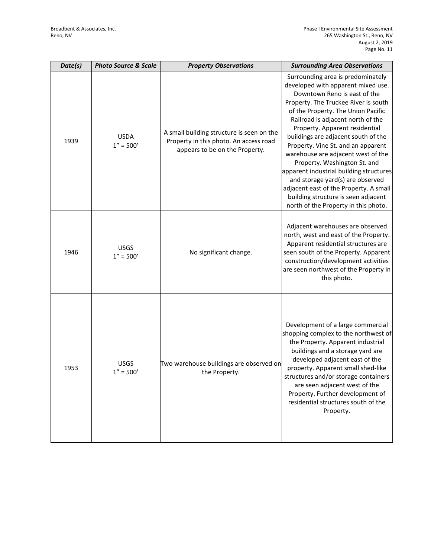| Date(s) | <b>Photo Source &amp; Scale</b> | <b>Property Observations</b>                                                                                          | <b>Surrounding Area Observations</b>                                                                                                                                                                                                                                                                                                                                                                                                                                                                                                                                                                                    |
|---------|---------------------------------|-----------------------------------------------------------------------------------------------------------------------|-------------------------------------------------------------------------------------------------------------------------------------------------------------------------------------------------------------------------------------------------------------------------------------------------------------------------------------------------------------------------------------------------------------------------------------------------------------------------------------------------------------------------------------------------------------------------------------------------------------------------|
| 1939    | <b>USDA</b><br>$1'' = 500'$     | A small building structure is seen on the<br>Property in this photo. An access road<br>appears to be on the Property. | Surrounding area is predominately<br>developed with apparent mixed use.<br>Downtown Reno is east of the<br>Property. The Truckee River is south<br>of the Property. The Union Pacific<br>Railroad is adjacent north of the<br>Property. Apparent residential<br>buildings are adjacent south of the<br>Property. Vine St. and an apparent<br>warehouse are adjacent west of the<br>Property. Washington St. and<br>apparent industrial building structures<br>and storage yard(s) are observed<br>adjacent east of the Property. A small<br>building structure is seen adjacent<br>north of the Property in this photo. |
| 1946    | <b>USGS</b><br>$1'' = 500'$     | No significant change.                                                                                                | Adjacent warehouses are observed<br>north, west and east of the Property.<br>Apparent residential structures are<br>seen south of the Property. Apparent<br>construction/development activities<br>are seen northwest of the Property in<br>this photo.                                                                                                                                                                                                                                                                                                                                                                 |
| 1953    | <b>USGS</b><br>$1'' = 500'$     | Two warehouse buildings are observed on<br>the Property.                                                              | Development of a large commercial<br>shopping complex to the northwest of<br>the Property. Apparent industrial<br>buildings and a storage yard are<br>developed adjacent east of the<br>property. Apparent small shed-like<br>structures and/or storage containers<br>are seen adjacent west of the<br>Property. Further development of<br>residential structures south of the<br>Property.                                                                                                                                                                                                                             |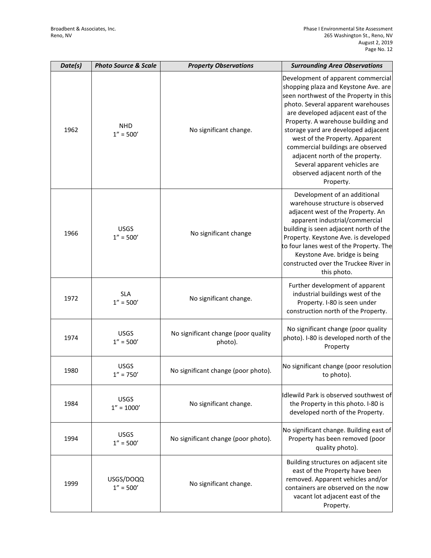| Date(s) | <b>Photo Source &amp; Scale</b> | <b>Property Observations</b>                   | <b>Surrounding Area Observations</b>                                                                                                                                                                                                                                                                                                                                                                                                                                    |
|---------|---------------------------------|------------------------------------------------|-------------------------------------------------------------------------------------------------------------------------------------------------------------------------------------------------------------------------------------------------------------------------------------------------------------------------------------------------------------------------------------------------------------------------------------------------------------------------|
| 1962    | <b>NHD</b><br>$1'' = 500'$      | No significant change.                         | Development of apparent commercial<br>shopping plaza and Keystone Ave. are<br>seen northwest of the Property in this<br>photo. Several apparent warehouses<br>are developed adjacent east of the<br>Property. A warehouse building and<br>storage yard are developed adjacent<br>west of the Property. Apparent<br>commercial buildings are observed<br>adjacent north of the property.<br>Several apparent vehicles are<br>observed adjacent north of the<br>Property. |
| 1966    | <b>USGS</b><br>$1'' = 500'$     | No significant change                          | Development of an additional<br>warehouse structure is observed<br>adjacent west of the Property. An<br>apparent industrial/commercial<br>building is seen adjacent north of the<br>Property. Keystone Ave. is developed<br>to four lanes west of the Property. The<br>Keystone Ave. bridge is being<br>constructed over the Truckee River in<br>this photo.                                                                                                            |
| 1972    | <b>SLA</b><br>$1'' = 500'$      | No significant change.                         | Further development of apparent<br>industrial buildings west of the<br>Property. I-80 is seen under<br>construction north of the Property.                                                                                                                                                                                                                                                                                                                              |
| 1974    | <b>USGS</b><br>$1'' = 500'$     | No significant change (poor quality<br>photo). | No significant change (poor quality<br>photo). I-80 is developed north of the<br>Property                                                                                                                                                                                                                                                                                                                                                                               |
| 1980    | <b>USGS</b><br>$1'' = 750'$     | No significant change (poor photo).            | No significant change (poor resolution<br>to photo).                                                                                                                                                                                                                                                                                                                                                                                                                    |
| 1984    | <b>USGS</b><br>$1'' = 1000'$    | No significant change.                         | Idlewild Park is observed southwest of<br>the Property in this photo. I-80 is<br>developed north of the Property.                                                                                                                                                                                                                                                                                                                                                       |
| 1994    | <b>USGS</b><br>$1'' = 500'$     | No significant change (poor photo).            | No significant change. Building east of<br>Property has been removed (poor<br>quality photo).                                                                                                                                                                                                                                                                                                                                                                           |
| 1999    | USGS/DOQQ<br>$1'' = 500'$       | No significant change.                         | Building structures on adjacent site<br>east of the Property have been<br>removed. Apparent vehicles and/or<br>containers are observed on the now<br>vacant lot adjacent east of the<br>Property.                                                                                                                                                                                                                                                                       |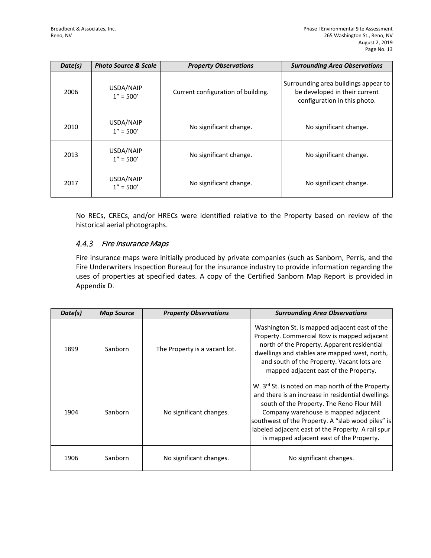| Date(s) | <b>Photo Source &amp; Scale</b> | <b>Property Observations</b>       | <b>Surrounding Area Observations</b>                                                                  |
|---------|---------------------------------|------------------------------------|-------------------------------------------------------------------------------------------------------|
| 2006    | USDA/NAIP<br>$1'' = 500'$       | Current configuration of building. | Surrounding area buildings appear to<br>be developed in their current<br>configuration in this photo. |
| 2010    | USDA/NAIP<br>$1'' = 500'$       | No significant change.             | No significant change.                                                                                |
| 2013    | USDA/NAIP<br>$1'' = 500'$       | No significant change.             | No significant change.                                                                                |
| 2017    | USDA/NAIP<br>$1'' = 500'$       | No significant change.             | No significant change.                                                                                |

No RECs, CRECs, and/or HRECs were identified relative to the Property based on review of the historical aerial photographs.

#### $4.4.3$ Fire Insurance Maps

Fire insurance maps were initially produced by private companies (such as Sanborn, Perris, and the Fire Underwriters Inspection Bureau) for the insurance industry to provide information regarding the uses of properties at specified dates. A copy of the Certified Sanborn Map Report is provided in Appendix D.

| Date(s) | <b>Map Source</b> | <b>Property Observations</b>  | <b>Surrounding Area Observations</b>                                                                                                                                                                                                                                                                                                                           |
|---------|-------------------|-------------------------------|----------------------------------------------------------------------------------------------------------------------------------------------------------------------------------------------------------------------------------------------------------------------------------------------------------------------------------------------------------------|
| 1899    | Sanborn           | The Property is a vacant lot. | Washington St. is mapped adjacent east of the<br>Property. Commercial Row is mapped adjacent<br>north of the Property. Apparent residential<br>dwellings and stables are mapped west, north,<br>and south of the Property. Vacant lots are<br>mapped adjacent east of the Property.                                                                            |
| 1904    | Sanborn           | No significant changes.       | W. 3 <sup>rd</sup> St. is noted on map north of the Property<br>and there is an increase in residential dwellings<br>south of the Property. The Reno Flour Mill<br>Company warehouse is mapped adjacent<br>southwest of the Property. A "slab wood piles" is<br>labeled adjacent east of the Property. A rail spur<br>is mapped adjacent east of the Property. |
| 1906    | Sanborn           | No significant changes.       | No significant changes.                                                                                                                                                                                                                                                                                                                                        |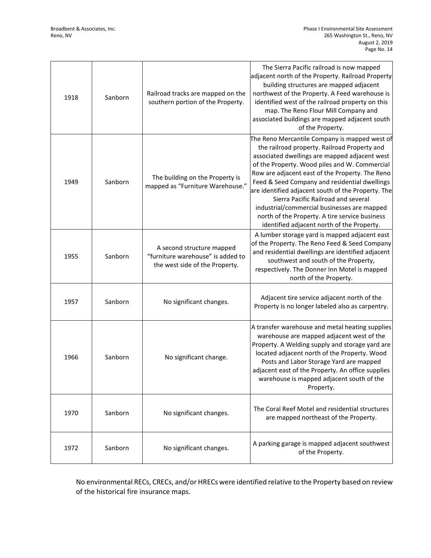| 1918 | Sanborn | Railroad tracks are mapped on the<br>southern portion of the Property.                           | The Sierra Pacific railroad is now mapped<br>adjacent north of the Property. Railroad Property<br>building structures are mapped adjacent<br>northwest of the Property. A Feed warehouse is<br>identified west of the railroad property on this<br>map. The Reno Flour Mill Company and<br>associated buildings are mapped adjacent south<br>of the Property.                                                                                                                                                                                   |
|------|---------|--------------------------------------------------------------------------------------------------|-------------------------------------------------------------------------------------------------------------------------------------------------------------------------------------------------------------------------------------------------------------------------------------------------------------------------------------------------------------------------------------------------------------------------------------------------------------------------------------------------------------------------------------------------|
| 1949 | Sanborn | The building on the Property is<br>mapped as "Furniture Warehouse."                              | The Reno Mercantile Company is mapped west of<br>the railroad property. Railroad Property and<br>associated dwellings are mapped adjacent west<br>of the Property. Wood piles and W. Commercial<br>Row are adjacent east of the Property. The Reno<br>Feed & Seed Company and residential dwellings<br>are identified adjacent south of the Property. The<br>Sierra Pacific Railroad and several<br>industrial/commercial businesses are mapped<br>north of the Property. A tire service business<br>identified adjacent north of the Property. |
| 1955 | Sanborn | A second structure mapped<br>"furniture warehouse" is added to<br>the west side of the Property. | A lumber storage yard is mapped adjacent east<br>of the Property. The Reno Feed & Seed Company<br>and residential dwellings are identified adjacent<br>southwest and south of the Property,<br>respectively. The Donner Inn Motel is mapped<br>north of the Property.                                                                                                                                                                                                                                                                           |
| 1957 | Sanborn | No significant changes.                                                                          | Adjacent tire service adjacent north of the<br>Property is no longer labeled also as carpentry.                                                                                                                                                                                                                                                                                                                                                                                                                                                 |
| 1966 | Sanborn | No significant change.                                                                           | A transfer warehouse and metal heating supplies<br>warehouse are mapped adjacent west of the<br>Property. A Welding supply and storage yard are<br>located adjacent north of the Property. Wood<br>Posts and Labor Storage Yard are mapped<br>adjacent east of the Property. An office supplies<br>warehouse is mapped adjacent south of the<br>Property.                                                                                                                                                                                       |
| 1970 | Sanborn | No significant changes.                                                                          | The Coral Reef Motel and residential structures<br>are mapped northeast of the Property.                                                                                                                                                                                                                                                                                                                                                                                                                                                        |
| 1972 | Sanborn | No significant changes.                                                                          | A parking garage is mapped adjacent southwest<br>of the Property.                                                                                                                                                                                                                                                                                                                                                                                                                                                                               |

No environmental RECs, CRECs, and/or HRECs were identified relative to the Property based on review of the historical fire insurance maps.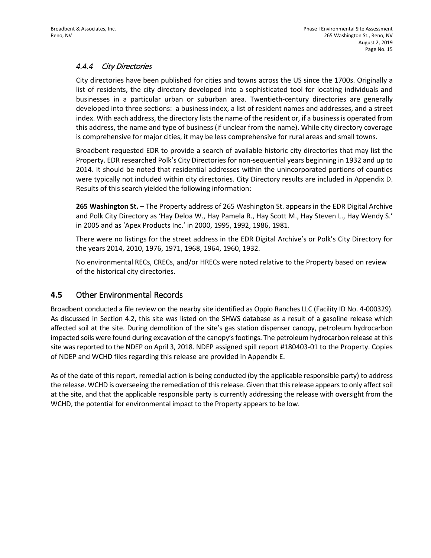#### $4.4.4$ City Directories

City directories have been published for cities and towns across the US since the 1700s. Originally a list of residents, the city directory developed into a sophisticated tool for locating individuals and businesses in a particular urban or suburban area. Twentieth-century directories are generally developed into three sections: a business index, a list of resident names and addresses, and a street index. With each address, the directory lists the name of the resident or, if a business is operated from this address, the name and type of business (if unclear from the name). While city directory coverage is comprehensive for major cities, it may be less comprehensive for rural areas and small towns.

Broadbent requested EDR to provide a search of available historic city directories that may list the Property. EDR researched Polk's City Directories for non-sequential years beginning in 1932 and up to 2014. It should be noted that residential addresses within the unincorporated portions of counties were typically not included within city directories. City Directory results are included in Appendix D. Results of this search yielded the following information:

**265 Washington St.** – The Property address of 265 Washington St. appears in the EDR Digital Archive and Polk City Directory as 'Hay Deloa W., Hay Pamela R., Hay Scott M., Hay Steven L., Hay Wendy S.' in 2005 and as 'Apex Products Inc.' in 2000, 1995, 1992, 1986, 1981.

There were no listings for the street address in the EDR Digital Archive's or Polk's City Directory for the years 2014, 2010, 1976, 1971, 1968, 1964, 1960, 1932.

No environmental RECs, CRECs, and/or HRECs were noted relative to the Property based on review of the historical city directories.

## **4.5** Other Environmental Records

Broadbent conducted a file review on the nearby site identified as Oppio Ranches LLC (Facility ID No. 4-000329). As discussed in Section 4.2, this site was listed on the SHWS database as a result of a gasoline release which affected soil at the site. During demolition of the site's gas station dispenser canopy, petroleum hydrocarbon impacted soils were found during excavation of the canopy's footings. The petroleum hydrocarbon release at this site was reported to the NDEP on April 3, 2018. NDEP assigned spill report #180403-01 to the Property. Copies of NDEP and WCHD files regarding this release are provided in Appendix E.

As of the date of this report, remedial action is being conducted (by the applicable responsible party) to address the release. WCHD is overseeing the remediation of this release. Given that thisrelease appears to only affect soil at the site, and that the applicable responsible party is currently addressing the release with oversight from the WCHD, the potential for environmental impact to the Property appears to be low.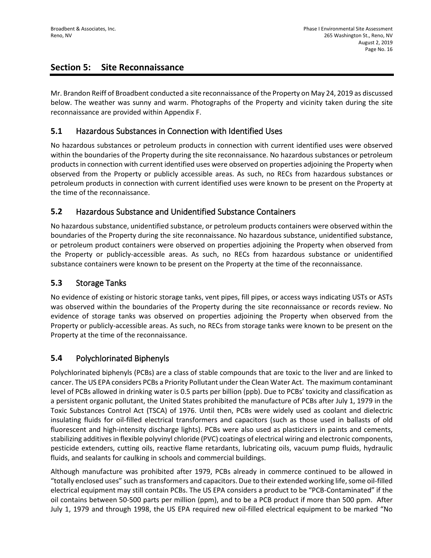## **Section 5: Site Reconnaissance**

Mr. Brandon Reiff of Broadbent conducted a site reconnaissance of the Property on May 24, 2019 as discussed below. The weather was sunny and warm. Photographs of the Property and vicinity taken during the site reconnaissance are provided within Appendix F.

## **5.1** Hazardous Substances in Connection with Identified Uses

No hazardous substances or petroleum products in connection with current identified uses were observed within the boundaries of the Property during the site reconnaissance. No hazardous substances or petroleum products in connection with current identified uses were observed on properties adjoining the Property when observed from the Property or publicly accessible areas. As such, no RECs from hazardous substances or petroleum products in connection with current identified uses were known to be present on the Property at the time of the reconnaissance.

## **5.2** Hazardous Substance and Unidentified Substance Containers

No hazardous substance, unidentified substance, or petroleum products containers were observed within the boundaries of the Property during the site reconnaissance. No hazardous substance, unidentified substance, or petroleum product containers were observed on properties adjoining the Property when observed from the Property or publicly-accessible areas. As such, no RECs from hazardous substance or unidentified substance containers were known to be present on the Property at the time of the reconnaissance.

## **5.3** Storage Tanks

No evidence of existing or historic storage tanks, vent pipes, fill pipes, or access ways indicating USTs or ASTs was observed within the boundaries of the Property during the site reconnaissance or records review. No evidence of storage tanks was observed on properties adjoining the Property when observed from the Property or publicly-accessible areas. As such, no RECs from storage tanks were known to be present on the Property at the time of the reconnaissance.

## **5.4** Polychlorinated Biphenyls

Polychlorinated biphenyls (PCBs) are a class of stable compounds that are toxic to the liver and are linked to cancer. The US EPA considers PCBs a Priority Pollutant under the Clean Water Act. The maximum contaminant level of PCBs allowed in drinking water is 0.5 parts per billion (ppb). Due to PCBs' toxicity and classification as a persistent organic pollutant, the United States prohibited the manufacture of PCBs after July 1, 1979 in the Toxic Substances Control Act (TSCA) of 1976. Until then, PCBs were widely used as coolant and dielectric insulating fluids for oil-filled electrical transformers and capacitors (such as those used in ballasts of old fluorescent and high-intensity discharge lights). PCBs were also used as plasticizers in paints and cements, stabilizing additives in flexible polyvinyl chloride (PVC) coatings of electrical wiring and electronic components, pesticide extenders, cutting oils, reactive flame retardants, lubricating oils, vacuum pump fluids, hydraulic fluids, and sealants for caulking in schools and commercial buildings.

Although manufacture was prohibited after 1979, PCBs already in commerce continued to be allowed in "totally enclosed uses" such as transformers and capacitors. Due to their extended working life, some oil-filled electrical equipment may still contain PCBs. The US EPA considers a product to be "PCB-Contaminated" if the oil contains between 50-500 parts per million (ppm), and to be a PCB product if more than 500 ppm. After July 1, 1979 and through 1998, the US EPA required new oil-filled electrical equipment to be marked "No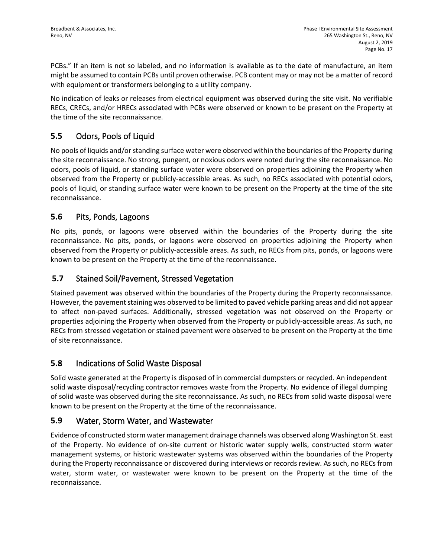PCBs." If an item is not so labeled, and no information is available as to the date of manufacture, an item might be assumed to contain PCBs until proven otherwise. PCB content may or may not be a matter of record with equipment or transformers belonging to a utility company.

No indication of leaks or releases from electrical equipment was observed during the site visit. No verifiable RECs, CRECs, and/or HRECs associated with PCBs were observed or known to be present on the Property at the time of the site reconnaissance.

## **5.5** Odors, Pools of Liquid

No pools of liquids and/or standing surface water were observed within the boundaries of the Property during the site reconnaissance. No strong, pungent, or noxious odors were noted during the site reconnaissance. No odors, pools of liquid, or standing surface water were observed on properties adjoining the Property when observed from the Property or publicly-accessible areas. As such, no RECs associated with potential odors, pools of liquid, or standing surface water were known to be present on the Property at the time of the site reconnaissance.

## **5.6** Pits, Ponds, Lagoons

No pits, ponds, or lagoons were observed within the boundaries of the Property during the site reconnaissance. No pits, ponds, or lagoons were observed on properties adjoining the Property when observed from the Property or publicly-accessible areas. As such, no RECs from pits, ponds, or lagoons were known to be present on the Property at the time of the reconnaissance.

## **5.7** Stained Soil/Pavement, Stressed Vegetation

Stained pavement was observed within the boundaries of the Property during the Property reconnaissance. However, the pavement staining was observed to be limited to paved vehicle parking areas and did not appear to affect non-paved surfaces. Additionally, stressed vegetation was not observed on the Property or properties adjoining the Property when observed from the Property or publicly-accessible areas. As such, no RECs from stressed vegetation or stained pavement were observed to be present on the Property at the time of site reconnaissance.

## **5.8** Indications of Solid Waste Disposal

Solid waste generated at the Property is disposed of in commercial dumpsters or recycled. An independent solid waste disposal/recycling contractor removes waste from the Property. No evidence of illegal dumping of solid waste was observed during the site reconnaissance. As such, no RECs from solid waste disposal were known to be present on the Property at the time of the reconnaissance.

### **5.9** Water, Storm Water, and Wastewater

Evidence of constructed storm water management drainage channels was observed along Washington St. east of the Property. No evidence of on-site current or historic water supply wells, constructed storm water management systems, or historic wastewater systems was observed within the boundaries of the Property during the Property reconnaissance or discovered during interviews or records review. As such, no RECs from water, storm water, or wastewater were known to be present on the Property at the time of the reconnaissance.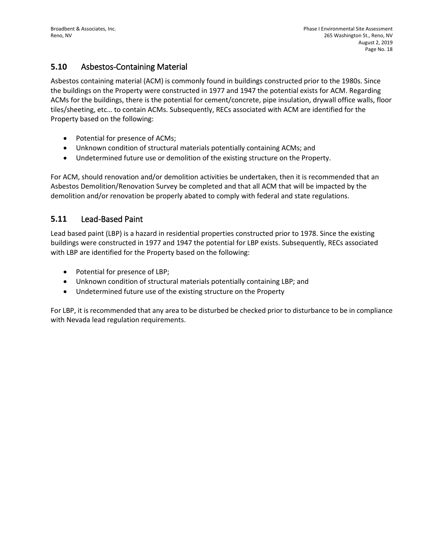## **5.10** Asbestos-Containing Material

Asbestos containing material (ACM) is commonly found in buildings constructed prior to the 1980s. Since the buildings on the Property were constructed in 1977 and 1947 the potential exists for ACM. Regarding ACMs for the buildings, there is the potential for cement/concrete, pipe insulation, drywall office walls, floor tiles/sheeting, etc… to contain ACMs. Subsequently, RECs associated with ACM are identified for the Property based on the following:

- Potential for presence of ACMs;
- Unknown condition of structural materials potentially containing ACMs; and
- Undetermined future use or demolition of the existing structure on the Property.

For ACM, should renovation and/or demolition activities be undertaken, then it is recommended that an Asbestos Demolition/Renovation Survey be completed and that all ACM that will be impacted by the demolition and/or renovation be properly abated to comply with federal and state regulations.

### **5.11** Lead-Based Paint

Lead based paint (LBP) is a hazard in residential properties constructed prior to 1978. Since the existing buildings were constructed in 1977 and 1947 the potential for LBP exists. Subsequently, RECs associated with LBP are identified for the Property based on the following:

- Potential for presence of LBP;
- Unknown condition of structural materials potentially containing LBP; and
- Undetermined future use of the existing structure on the Property

For LBP, it is recommended that any area to be disturbed be checked prior to disturbance to be in compliance with Nevada lead regulation requirements.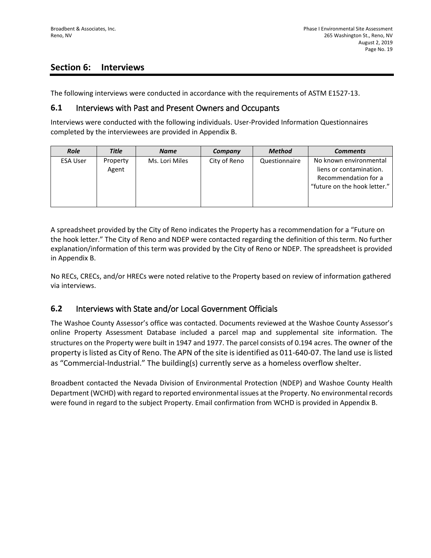## **Section 6: Interviews**

The following interviews were conducted in accordance with the requirements of ASTM E1527-13.

### **6.1** Interviews with Past and Present Owners and Occupants

Interviews were conducted with the following individuals. User-Provided Information Questionnaires completed by the interviewees are provided in Appendix B.

| <b>Role</b>     | <b>Title</b>      | <b>Name</b>    | Company      | <b>Method</b> | <b>Comments</b>                                                                                           |
|-----------------|-------------------|----------------|--------------|---------------|-----------------------------------------------------------------------------------------------------------|
| <b>ESA User</b> | Property<br>Agent | Ms. Lori Miles | City of Reno | Questionnaire | No known environmental<br>liens or contamination.<br>Recommendation for a<br>"future on the hook letter." |

A spreadsheet provided by the City of Reno indicates the Property has a recommendation for a "Future on the hook letter." The City of Reno and NDEP were contacted regarding the definition of this term. No further explanation/information of this term was provided by the City of Reno or NDEP. The spreadsheet is provided in Appendix B.

No RECs, CRECs, and/or HRECs were noted relative to the Property based on review of information gathered via interviews.

### **6.2** Interviews with State and/or Local Government Officials

The Washoe County Assessor's office was contacted. Documents reviewed at the Washoe County Assessor's online Property Assessment Database included a parcel map and supplemental site information. The structures on the Property were built in 1947 and 1977. The parcel consists of 0.194 acres. The owner of the property is listed as City of Reno. The APN of the site is identified as 011-640-07. The land use is listed as "Commercial-Industrial." The building(s) currently serve as a homeless overflow shelter.

Broadbent contacted the Nevada Division of Environmental Protection (NDEP) and Washoe County Health Department (WCHD) with regard to reported environmental issues at the Property. No environmental records were found in regard to the subject Property. Email confirmation from WCHD is provided in Appendix B.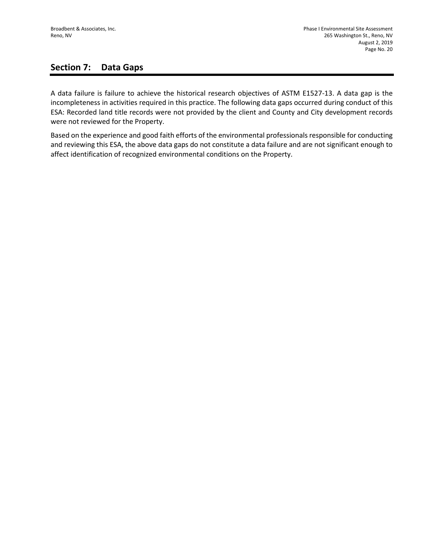## **Section 7: Data Gaps**

A data failure is failure to achieve the historical research objectives of ASTM E1527-13. A data gap is the incompleteness in activities required in this practice. The following data gaps occurred during conduct of this ESA: Recorded land title records were not provided by the client and County and City development records were not reviewed for the Property.

Based on the experience and good faith efforts of the environmental professionals responsible for conducting and reviewing this ESA, the above data gaps do not constitute a data failure and are not significant enough to affect identification of recognized environmental conditions on the Property.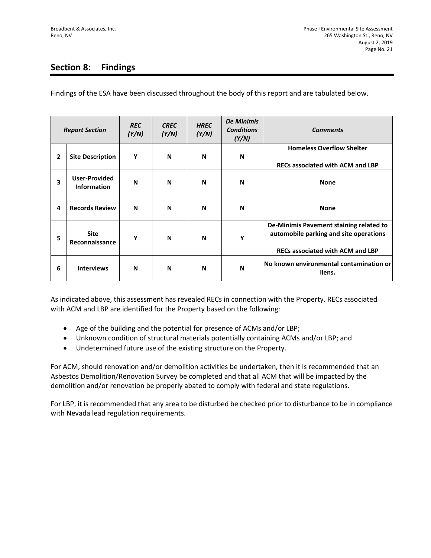# **Section 8: Findings**

Findings of the ESA have been discussed throughout the body of this report and are tabulated below.

| <b>Report Section</b> |                                            | <b>REC</b><br>(Y/N) | <b>CREC</b><br>(Y/N) | <b>HREC</b><br>(Y/N) | <b>De Minimis</b><br><b>Conditions</b><br>(Y/N) | <b>Comments</b>                                                                                                              |
|-----------------------|--------------------------------------------|---------------------|----------------------|----------------------|-------------------------------------------------|------------------------------------------------------------------------------------------------------------------------------|
| $\mathbf{2}$          | <b>Site Description</b>                    | Y                   | N                    | N                    | N                                               | <b>Homeless Overflow Shelter</b><br><b>RECs associated with ACM and LBP</b>                                                  |
| 3                     | <b>User-Provided</b><br><b>Information</b> | N                   | N                    | N                    | N                                               | <b>None</b>                                                                                                                  |
| 4                     | <b>Records Review</b>                      | N                   | N                    | N                    | N                                               | <b>None</b>                                                                                                                  |
| 5                     | <b>Site</b><br>Reconnaissance              | Y                   | N                    | N                    | Y                                               | De-Minimis Pavement staining related to<br>automobile parking and site operations<br><b>RECs associated with ACM and LBP</b> |
| 6                     | <b>Interviews</b>                          | N                   | N                    | N                    | N                                               | No known environmental contamination or<br>liens.                                                                            |

As indicated above, this assessment has revealed RECs in connection with the Property. RECs associated with ACM and LBP are identified for the Property based on the following:

- Age of the building and the potential for presence of ACMs and/or LBP;
- Unknown condition of structural materials potentially containing ACMs and/or LBP; and
- Undetermined future use of the existing structure on the Property.

For ACM, should renovation and/or demolition activities be undertaken, then it is recommended that an Asbestos Demolition/Renovation Survey be completed and that all ACM that will be impacted by the demolition and/or renovation be properly abated to comply with federal and state regulations.

For LBP, it is recommended that any area to be disturbed be checked prior to disturbance to be in compliance with Nevada lead regulation requirements.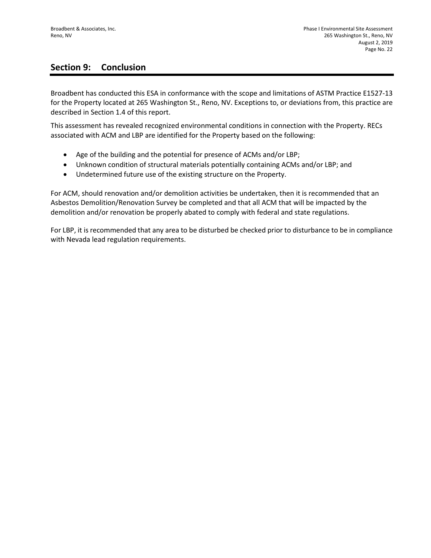## **Section 9: Conclusion**

Broadbent has conducted this ESA in conformance with the scope and limitations of ASTM Practice E1527-13 for the Property located at 265 Washington St., Reno, NV. Exceptions to, or deviations from, this practice are described in Section 1.4 of this report.

This assessment has revealed recognized environmental conditions in connection with the Property. RECs associated with ACM and LBP are identified for the Property based on the following:

- Age of the building and the potential for presence of ACMs and/or LBP;
- Unknown condition of structural materials potentially containing ACMs and/or LBP; and
- Undetermined future use of the existing structure on the Property.

For ACM, should renovation and/or demolition activities be undertaken, then it is recommended that an Asbestos Demolition/Renovation Survey be completed and that all ACM that will be impacted by the demolition and/or renovation be properly abated to comply with federal and state regulations.

For LBP, it is recommended that any area to be disturbed be checked prior to disturbance to be in compliance with Nevada lead regulation requirements.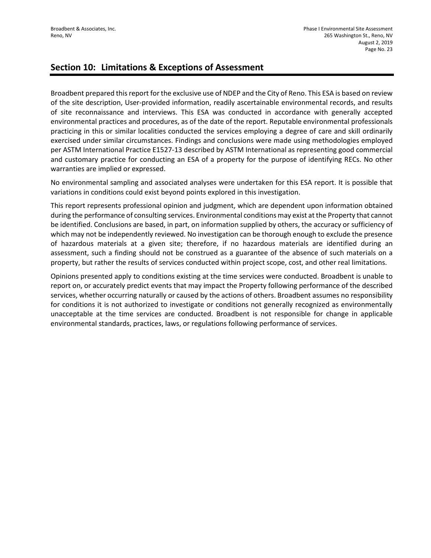## **Section 10: Limitations & Exceptions of Assessment**

Broadbent prepared this report for the exclusive use of NDEP and the City of Reno. This ESA is based on review of the site description, User-provided information, readily ascertainable environmental records, and results of site reconnaissance and interviews. This ESA was conducted in accordance with generally accepted environmental practices and procedures, as of the date of the report. Reputable environmental professionals practicing in this or similar localities conducted the services employing a degree of care and skill ordinarily exercised under similar circumstances. Findings and conclusions were made using methodologies employed per ASTM International Practice E1527-13 described by ASTM International as representing good commercial and customary practice for conducting an ESA of a property for the purpose of identifying RECs. No other warranties are implied or expressed.

No environmental sampling and associated analyses were undertaken for this ESA report. It is possible that variations in conditions could exist beyond points explored in this investigation.

This report represents professional opinion and judgment, which are dependent upon information obtained during the performance of consulting services. Environmental conditions may exist at the Property that cannot be identified. Conclusions are based, in part, on information supplied by others, the accuracy or sufficiency of which may not be independently reviewed. No investigation can be thorough enough to exclude the presence of hazardous materials at a given site; therefore, if no hazardous materials are identified during an assessment, such a finding should not be construed as a guarantee of the absence of such materials on a property, but rather the results of services conducted within project scope, cost, and other real limitations.

Opinions presented apply to conditions existing at the time services were conducted. Broadbent is unable to report on, or accurately predict events that may impact the Property following performance of the described services, whether occurring naturally or caused by the actions of others. Broadbent assumes no responsibility for conditions it is not authorized to investigate or conditions not generally recognized as environmentally unacceptable at the time services are conducted. Broadbent is not responsible for change in applicable environmental standards, practices, laws, or regulations following performance of services.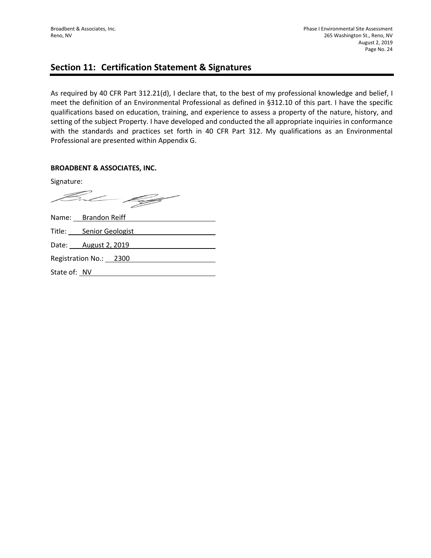## **Section 11: Certification Statement & Signatures**

As required by 40 CFR Part 312.21(d), I declare that, to the best of my professional knowledge and belief, I meet the definition of an Environmental Professional as defined in §312.10 of this part. I have the specific qualifications based on education, training, and experience to assess a property of the nature, history, and setting of the subject Property. I have developed and conducted the all appropriate inquiries in conformance with the standards and practices set forth in 40 CFR Part 312. My qualifications as an Environmental Professional are presented within Appendix G.

### **BROADBENT & ASSOCIATES, INC.**

Signature:

But 199

|              | Name: Brandon Reiff         |
|--------------|-----------------------------|
|              | Title: Senior Geologist     |
|              | Date: <b>August 2, 2019</b> |
|              | Registration No.: 2300      |
| State of: NV |                             |